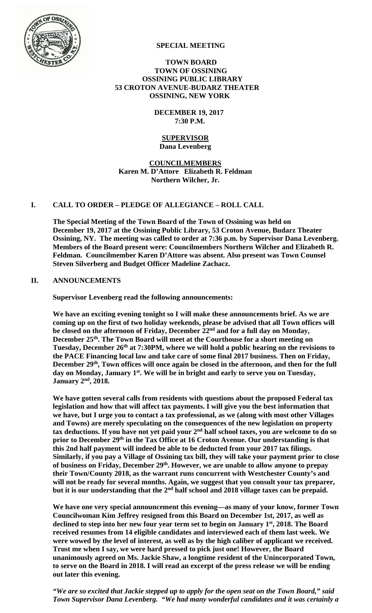

### **SPECIAL MEETING**

### **TOWN BOARD TOWN OF OSSINING OSSINING PUBLIC LIBRARY 53 CROTON AVENUE-BUDARZ THEATER OSSINING, NEW YORK**

 **DECEMBER 19, 2017 7:30 P.M.** 

#### **SUPERVISOR Dana Levenberg**

**COUNCILMEMBERS Karen M. D'Attore Elizabeth R. Feldman Northern Wilcher, Jr.** 

### **I. CALL TO ORDER – PLEDGE OF ALLEGIANCE – ROLL CALL**

**The Special Meeting of the Town Board of the Town of Ossining was held on December 19, 2017 at the Ossining Public Library, 53 Croton Avenue, Budarz Theater Ossining, NY. The meeting was called to order at 7:36 p.m. by Supervisor Dana Levenberg. Members of the Board present were: Councilmembers Northern Wilcher and Elizabeth R. Feldman. Councilmember Karen D'Attore was absent. Also present was Town Counsel Steven Silverberg and Budget Officer Madeline Zachacz.** 

### **II. ANNOUNCEMENTS**

**Supervisor Levenberg read the following announcements:** 

**We have an exciting evening tonight so I will make these announcements brief. As we are coming up on the first of two holiday weekends, please be advised that all Town offices will be closed on the afternoon of Friday, December 22nd and for a full day on Monday, December 25th. The Town Board will meet at the Courthouse for a short meeting on Tuesday, December 26th at 7:30PM, where we will hold a public hearing on the revisions to the PACE Financing local law and take care of some final 2017 business. Then on Friday,**  December 29<sup>th</sup>, Town offices will once again be closed in the afternoon, and then for the full day on Monday, January 1<sup>st</sup>. We will be in bright and early to serve you on Tuesday, **January 2nd, 2018.** 

**We have gotten several calls from residents with questions about the proposed Federal tax legislation and how that will affect tax payments. I will give you the best information that we have, but I urge you to contact a tax professional, as we (along with most other Villages and Towns) are merely speculating on the consequences of the new legislation on property tax deductions. If you have not yet paid your 2nd half school taxes, you are welcome to do so**  prior to December 29<sup>th</sup> in the Tax Office at 16 Croton Avenue. Our understanding is that **this 2nd half payment will indeed be able to be deducted from your 2017 tax filings. Similarly, if you pay a Village of Ossining tax bill, they will take your payment prior to close of business on Friday, December 29th. However, we are unable to allow anyone to prepay their Town/County 2018, as the warrant runs concurrent with Westchester County's and will not be ready for several months. Again, we suggest that you consult your tax preparer, but it is our understanding that the 2nd half school and 2018 village taxes can be prepaid.** 

**We have one very special announcement this evening—as many of your know, former Town Councilwoman Kim Jeffrey resigned from this Board on December 1st, 2017, as well as declined to step into her new four year term set to begin on January 1st, 2018. The Board received resumes from 14 eligible candidates and interviewed each of them last week. We were wowed by the level of interest, as well as by the high caliber of applicant we received. Trust me when I say, we were hard pressed to pick just one! However, the Board unanimously agreed on Ms. Jackie Shaw, a longtime resident of the Unincorporated Town, to serve on the Board in 2018. I will read an excerpt of the press release we will be ending out later this evening.** 

*"We are so excited that Jackie stepped up to apply for the open seat on the Town Board," said Town Supervisor Dana Levenberg. "We had many wonderful candidates and it was certainly a*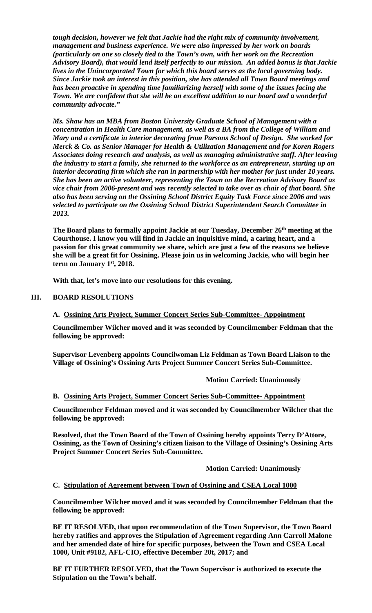*tough decision, however we felt that Jackie had the right mix of community involvement, management and business experience. We were also impressed by her work on boards (particularly on one so closely tied to the Town's own, with her work on the Recreation Advisory Board), that would lend itself perfectly to our mission. An added bonus is that Jackie lives in the Unincorporated Town for which this board serves as the local governing body. Since Jackie took an interest in this position, she has attended all Town Board meetings and has been proactive in spending time familiarizing herself with some of the issues facing the Town. We are confident that she will be an excellent addition to our board and a wonderful community advocate."* 

*Ms. Shaw has an MBA from Boston University Graduate School of Management with a concentration in Health Care management, as well as a BA from the College of William and Mary and a certificate in interior decorating from Parsons School of Design. She worked for Merck & Co. as Senior Manager for Health & Utilization Management and for Koren Rogers Associates doing research and analysis, as well as managing administrative staff. After leaving the industry to start a family, she returned to the workforce as an entrepreneur, starting up an interior decorating firm which she ran in partnership with her mother for just under 10 years. She has been an active volunteer, representing the Town on the Recreation Advisory Board as vice chair from 2006-present and was recently selected to take over as chair of that board. She also has been serving on the Ossining School District Equity Task Force since 2006 and was selected to participate on the Ossining School District Superintendent Search Committee in 2013.* 

**The Board plans to formally appoint Jackie at our Tuesday, December 26th meeting at the Courthouse. I know you will find in Jackie an inquisitive mind, a caring heart, and a passion for this great community we share, which are just a few of the reasons we believe she will be a great fit for Ossining. Please join us in welcoming Jackie, who will begin her term on January 1st, 2018.** 

**With that, let's move into our resolutions for this evening.** 

# **III. BOARD RESOLUTIONS**

# **A. Ossining Arts Project, Summer Concert Series Sub-Committee- Appointment**

**Councilmember Wilcher moved and it was seconded by Councilmember Feldman that the following be approved:** 

**Supervisor Levenberg appoints Councilwoman Liz Feldman as Town Board Liaison to the Village of Ossining's Ossining Arts Project Summer Concert Series Sub-Committee.** 

### **Motion Carried: Unanimously**

### **B. Ossining Arts Project, Summer Concert Series Sub-Committee- Appointment**

**Councilmember Feldman moved and it was seconded by Councilmember Wilcher that the following be approved:** 

**Resolved, that the Town Board of the Town of Ossining hereby appoints Terry D'Attore, Ossining, as the Town of Ossining's citizen liaison to the Village of Ossining's Ossining Arts Project Summer Concert Series Sub-Committee.** 

 **Motion Carried: Unanimously** 

### **C. Stipulation of Agreement between Town of Ossining and CSEA Local 1000**

**Councilmember Wilcher moved and it was seconded by Councilmember Feldman that the following be approved:** 

**BE IT RESOLVED, that upon recommendation of the Town Supervisor, the Town Board hereby ratifies and approves the Stipulation of Agreement regarding Ann Carroll Malone and her amended date of hire for specific purposes, between the Town and CSEA Local 1000, Unit #9182, AFL-CIO, effective December 20t, 2017; and** 

**BE IT FURTHER RESOLVED, that the Town Supervisor is authorized to execute the Stipulation on the Town's behalf.**